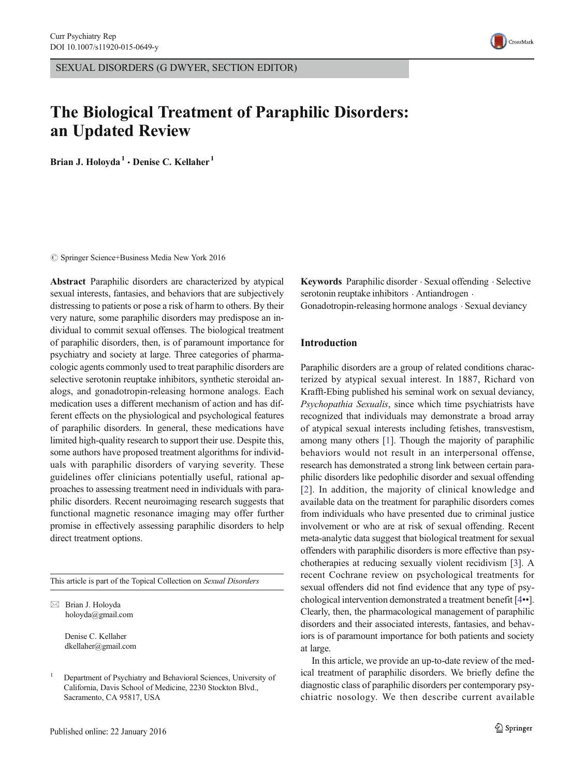SEXUAL DISORDERS (G DWYER, SECTION EDITOR)



# The Biological Treatment of Paraphilic Disorders: an Updated Review

Brian J. Holoyda<sup>1</sup> · Denise C. Kellaher<sup>1</sup>

 $\circ$  Springer Science+Business Media New York 2016

Abstract Paraphilic disorders are characterized by atypical sexual interests, fantasies, and behaviors that are subjectively distressing to patients or pose a risk of harm to others. By their very nature, some paraphilic disorders may predispose an individual to commit sexual offenses. The biological treatment of paraphilic disorders, then, is of paramount importance for psychiatry and society at large. Three categories of pharmacologic agents commonly used to treat paraphilic disorders are selective serotonin reuptake inhibitors, synthetic steroidal analogs, and gonadotropin-releasing hormone analogs. Each medication uses a different mechanism of action and has different effects on the physiological and psychological features of paraphilic disorders. In general, these medications have limited high-quality research to support their use. Despite this, some authors have proposed treatment algorithms for individuals with paraphilic disorders of varying severity. These guidelines offer clinicians potentially useful, rational approaches to assessing treatment need in individuals with paraphilic disorders. Recent neuroimaging research suggests that functional magnetic resonance imaging may offer further promise in effectively assessing paraphilic disorders to help direct treatment options.

This article is part of the Topical Collection on Sexual Disorders

 $\boxtimes$  Brian J. Holoyda holoyda@gmail.com

> Denise C. Kellaher dkellaher@gmail.com

Keywords Paraphilic disorder . Sexual offending . Selective serotonin reuptake inhibitors  $\cdot$  Antiandrogen  $\cdot$ Gonadotropin-releasing hormone analogs . Sexual deviancy

# Introduction

Paraphilic disorders are a group of related conditions characterized by atypical sexual interest. In 1887, Richard von Krafft-Ebing published his seminal work on sexual deviancy, Psychopathia Sexualis, since which time psychiatrists have recognized that individuals may demonstrate a broad array of atypical sexual interests including fetishes, transvestism, among many others [[1\]](#page-5-0). Though the majority of paraphilic behaviors would not result in an interpersonal offense, research has demonstrated a strong link between certain paraphilic disorders like pedophilic disorder and sexual offending [[2\]](#page-5-0). In addition, the majority of clinical knowledge and available data on the treatment for paraphilic disorders comes from individuals who have presented due to criminal justice involvement or who are at risk of sexual offending. Recent meta-analytic data suggest that biological treatment for sexual offenders with paraphilic disorders is more effective than psychotherapies at reducing sexually violent recidivism [[3\]](#page-5-0). A recent Cochrane review on psychological treatments for sexual offenders did not find evidence that any type of psychological intervention demonstrated a treatment benefit [\[4](#page-5-0)••]. Clearly, then, the pharmacological management of paraphilic disorders and their associated interests, fantasies, and behaviors is of paramount importance for both patients and society at large.

In this article, we provide an up-to-date review of the medical treatment of paraphilic disorders. We briefly define the diagnostic class of paraphilic disorders per contemporary psychiatric nosology. We then describe current available

<sup>&</sup>lt;sup>1</sup> Department of Psychiatry and Behavioral Sciences, University of California, Davis School of Medicine, 2230 Stockton Blvd., Sacramento, CA 95817, USA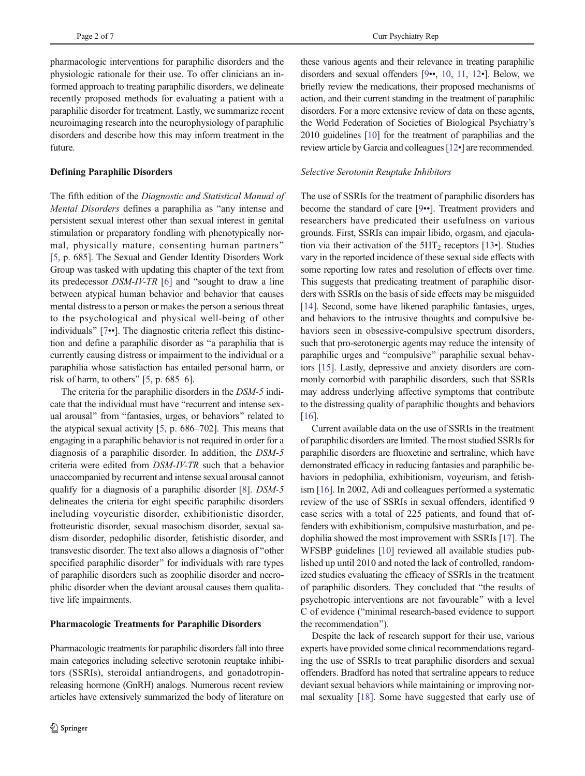pharmacologic interventions for paraphilic disorders and the physiologic rationale for their use. To offer clinicians an informed approach to treating paraphilic disorders, we delineate recently proposed methods for evaluating a patient with a paraphilic disorder for treatment. Lastly, we summarize recent neuroimaging research into the neurophysiology of paraphilic disorders and describe how this may inform treatment in the future.

# Defining Paraphilic Disorders

The fifth edition of the Diagnostic and Statistical Manual of Mental Disorders defines a paraphilia as "any intense and persistent sexual interest other than sexual interest in genital stimulation or preparatory fondling with phenotypically normal, physically mature, consenting human partners^ [\[5](#page-5-0), p. 685]. The Sexual and Gender Identity Disorders Work Group was tasked with updating this chapter of the text from its predecessor  $DSM-IV-TR$  [\[6](#page-5-0)] and "sought to draw a line between atypical human behavior and behavior that causes mental distress to a person or makes the person a serious threat to the psychological and physical well-being of other individuals" [\[7](#page-5-0)••]. The diagnostic criteria reflect this distinction and define a paraphilic disorder as "a paraphilia that is currently causing distress or impairment to the individual or a paraphilia whose satisfaction has entailed personal harm, or risk of harm, to others"  $[5, p. 685–6]$  $[5, p. 685–6]$ .

The criteria for the paraphilic disorders in the DSM-5 indicate that the individual must have "recurrent and intense sexual arousal" from "fantasies, urges, or behaviors" related to the atypical sexual activity  $[5, p. 686-702]$  $[5, p. 686-702]$ . This means that engaging in a paraphilic behavior is not required in order for a diagnosis of a paraphilic disorder. In addition, the DSM-5 criteria were edited from DSM-IV-TR such that a behavior unaccompanied by recurrent and intense sexual arousal cannot qualify for a diagnosis of a paraphilic disorder [[8](#page-5-0)]. DSM-5 delineates the criteria for eight specific paraphilic disorders including voyeuristic disorder, exhibitionistic disorder, frotteuristic disorder, sexual masochism disorder, sexual sadism disorder, pedophilic disorder, fetishistic disorder, and transvestic disorder. The text also allows a diagnosis of "other specified paraphilic disorder" for individuals with rare types of paraphilic disorders such as zoophilic disorder and necrophilic disorder when the deviant arousal causes them qualitative life impairments.

#### Pharmacologic Treatments for Paraphilic Disorders

Pharmacologic treatments for paraphilic disorders fall into three main categories including selective serotonin reuptake inhibitors (SSRIs), steroidal antiandrogens, and gonadotropinreleasing hormone (GnRH) analogs. Numerous recent review articles have extensively summarized the body of literature on these various agents and their relevance in treating paraphilic disorders and sexual offenders [\[9](#page-5-0)••, [10](#page-5-0), [11](#page-5-0), [12](#page-5-0)•]. Below, we briefly review the medications, their proposed mechanisms of action, and their current standing in the treatment of paraphilic disorders. For a more extensive review of data on these agents, the World Federation of Societies of Biological Psychiatry's 2010 guidelines [\[10\]](#page-5-0) for the treatment of paraphilias and the review article by Garcia and colleagues [\[12](#page-5-0)•] are recommended.

#### Selective Serotonin Reuptake Inhibitors

The use of SSRIs for the treatment of paraphilic disorders has become the standard of care [\[9](#page-5-0)••]. Treatment providers and researchers have predicated their usefulness on various grounds. First, SSRIs can impair libido, orgasm, and ejaculation via their activation of the  $5HT_2$  receptors [[13](#page-5-0)•]. Studies vary in the reported incidence of these sexual side effects with some reporting low rates and resolution of effects over time. This suggests that predicating treatment of paraphilic disorders with SSRIs on the basis of side effects may be misguided [\[14](#page-5-0)]. Second, some have likened paraphilic fantasies, urges, and behaviors to the intrusive thoughts and compulsive behaviors seen in obsessive-compulsive spectrum disorders, such that pro-serotonergic agents may reduce the intensity of paraphilic urges and "compulsive" paraphilic sexual behaviors [\[15](#page-5-0)]. Lastly, depressive and anxiety disorders are commonly comorbid with paraphilic disorders, such that SSRIs may address underlying affective symptoms that contribute to the distressing quality of paraphilic thoughts and behaviors [\[16](#page-5-0)].

Current available data on the use of SSRIs in the treatment of paraphilic disorders are limited. The most studied SSRIs for paraphilic disorders are fluoxetine and sertraline, which have demonstrated efficacy in reducing fantasies and paraphilic behaviors in pedophilia, exhibitionism, voyeurism, and fetishism [[16](#page-5-0)]. In 2002, Adi and colleagues performed a systematic review of the use of SSRIs in sexual offenders, identified 9 case series with a total of 225 patients, and found that offenders with exhibitionism, compulsive masturbation, and pedophilia showed the most improvement with SSRIs [\[17](#page-5-0)]. The WFSBP guidelines [\[10](#page-5-0)] reviewed all available studies published up until 2010 and noted the lack of controlled, randomized studies evaluating the efficacy of SSRIs in the treatment of paraphilic disorders. They concluded that "the results of psychotropic interventions are not favourable^ with a level C of evidence ("minimal research-based evidence to support the recommendation^).

Despite the lack of research support for their use, various experts have provided some clinical recommendations regarding the use of SSRIs to treat paraphilic disorders and sexual offenders. Bradford has noted that sertraline appears to reduce deviant sexual behaviors while maintaining or improving normal sexuality [[18\]](#page-5-0). Some have suggested that early use of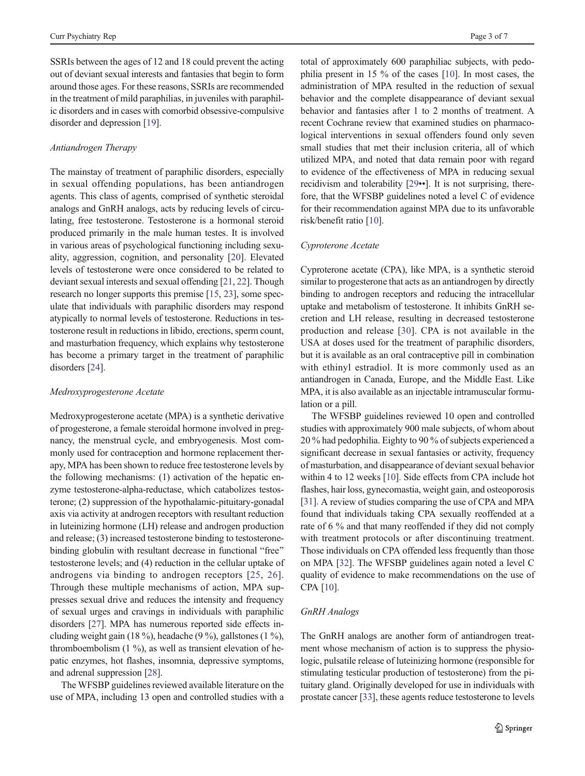SSRIs between the ages of 12 and 18 could prevent the acting out of deviant sexual interests and fantasies that begin to form around those ages. For these reasons, SSRIs are recommended in the treatment of mild paraphilias, in juveniles with paraphilic disorders and in cases with comorbid obsessive-compulsive disorder and depression [\[19\]](#page-5-0).

#### Antiandrogen Therapy

The mainstay of treatment of paraphilic disorders, especially in sexual offending populations, has been antiandrogen agents. This class of agents, comprised of synthetic steroidal analogs and GnRH analogs, acts by reducing levels of circulating, free testosterone. Testosterone is a hormonal steroid produced primarily in the male human testes. It is involved in various areas of psychological functioning including sexuality, aggression, cognition, and personality [\[20](#page-5-0)]. Elevated levels of testosterone were once considered to be related to deviant sexual interests and sexual offending [\[21,](#page-5-0) [22](#page-5-0)]. Though research no longer supports this premise [\[15,](#page-5-0) [23\]](#page-5-0), some speculate that individuals with paraphilic disorders may respond atypically to normal levels of testosterone. Reductions in testosterone result in reductions in libido, erections, sperm count, and masturbation frequency, which explains why testosterone has become a primary target in the treatment of paraphilic disorders [\[24\]](#page-5-0).

#### Medroxyprogesterone Acetate

Medroxyprogesterone acetate (MPA) is a synthetic derivative of progesterone, a female steroidal hormone involved in pregnancy, the menstrual cycle, and embryogenesis. Most commonly used for contraception and hormone replacement therapy, MPA has been shown to reduce free testosterone levels by the following mechanisms: (1) activation of the hepatic enzyme testosterone-alpha-reductase, which catabolizes testosterone; (2) suppression of the hypothalamic-pituitary-gonadal axis via activity at androgen receptors with resultant reduction in luteinizing hormone (LH) release and androgen production and release; (3) increased testosterone binding to testosteronebinding globulin with resultant decrease in functional "free" testosterone levels; and (4) reduction in the cellular uptake of androgens via binding to androgen receptors [[25,](#page-5-0) [26](#page-5-0)]. Through these multiple mechanisms of action, MPA suppresses sexual drive and reduces the intensity and frequency of sexual urges and cravings in individuals with paraphilic disorders [\[27\]](#page-5-0). MPA has numerous reported side effects including weight gain (18 %), headache (9 %), gallstones (1 %), thromboembolism (1 %), as well as transient elevation of hepatic enzymes, hot flashes, insomnia, depressive symptoms, and adrenal suppression [\[28](#page-5-0)].

The WFSBP guidelines reviewed available literature on the use of MPA, including 13 open and controlled studies with a total of approximately 600 paraphiliac subjects, with pedophilia present in 15 % of the cases [\[10\]](#page-5-0). In most cases, the administration of MPA resulted in the reduction of sexual behavior and the complete disappearance of deviant sexual behavior and fantasies after 1 to 2 months of treatment. A recent Cochrane review that examined studies on pharmacological interventions in sexual offenders found only seven small studies that met their inclusion criteria, all of which utilized MPA, and noted that data remain poor with regard to evidence of the effectiveness of MPA in reducing sexual recidivism and tolerability [[29](#page-5-0)••]. It is not surprising, therefore, that the WFSBP guidelines noted a level C of evidence for their recommendation against MPA due to its unfavorable risk/benefit ratio [[10\]](#page-5-0).

#### Cyproterone Acetate

Cyproterone acetate (CPA), like MPA, is a synthetic steroid similar to progesterone that acts as an antiandrogen by directly binding to androgen receptors and reducing the intracellular uptake and metabolism of testosterone. It inhibits GnRH secretion and LH release, resulting in decreased testosterone production and release [[30\]](#page-5-0). CPA is not available in the USA at doses used for the treatment of paraphilic disorders, but it is available as an oral contraceptive pill in combination with ethinyl estradiol. It is more commonly used as an antiandrogen in Canada, Europe, and the Middle East. Like MPA, it is also available as an injectable intramuscular formulation or a pill.

The WFSBP guidelines reviewed 10 open and controlled studies with approximately 900 male subjects, of whom about 20 % had pedophilia. Eighty to 90 % of subjects experienced a significant decrease in sexual fantasies or activity, frequency of masturbation, and disappearance of deviant sexual behavior within 4 to 12 weeks [\[10\]](#page-5-0). Side effects from CPA include hot flashes, hair loss, gynecomastia, weight gain, and osteoporosis [\[31](#page-6-0)]. A review of studies comparing the use of CPA and MPA found that individuals taking CPA sexually reoffended at a rate of 6 % and that many reoffended if they did not comply with treatment protocols or after discontinuing treatment. Those individuals on CPA offended less frequently than those on MPA [[32](#page-6-0)]. The WFSBP guidelines again noted a level C quality of evidence to make recommendations on the use of CPA [\[10\]](#page-5-0).

## GnRH Analogs

The GnRH analogs are another form of antiandrogen treatment whose mechanism of action is to suppress the physiologic, pulsatile release of luteinizing hormone (responsible for stimulating testicular production of testosterone) from the pituitary gland. Originally developed for use in individuals with prostate cancer [\[33](#page-6-0)], these agents reduce testosterone to levels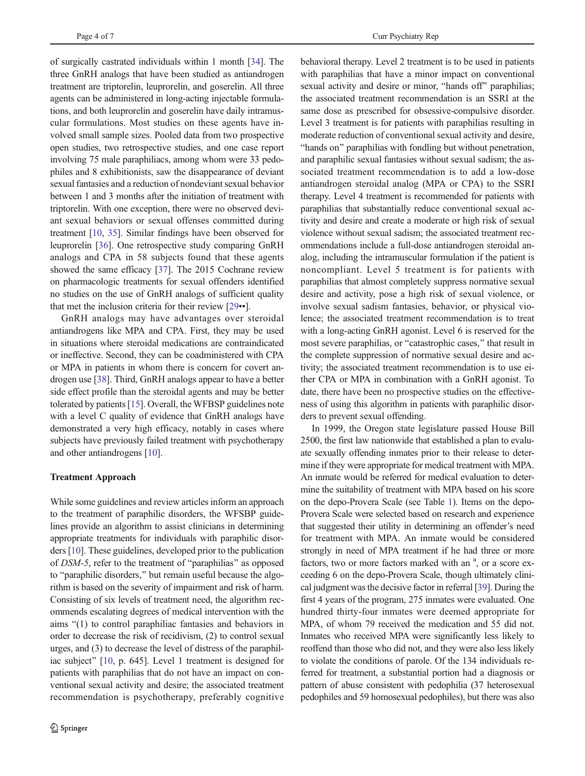of surgically castrated individuals within 1 month [\[34\]](#page-6-0). The three GnRH analogs that have been studied as antiandrogen treatment are triptorelin, leuprorelin, and goserelin. All three agents can be administered in long-acting injectable formulations, and both leuprorelin and goserelin have daily intramuscular formulations. Most studies on these agents have involved small sample sizes. Pooled data from two prospective open studies, two retrospective studies, and one case report involving 75 male paraphiliacs, among whom were 33 pedophiles and 8 exhibitionists, saw the disappearance of deviant sexual fantasies and a reduction of nondeviant sexual behavior between 1 and 3 months after the initiation of treatment with triptorelin. With one exception, there were no observed deviant sexual behaviors or sexual offenses committed during treatment [\[10,](#page-5-0) [35](#page-6-0)]. Similar findings have been observed for leuprorelin [\[36](#page-6-0)]. One retrospective study comparing GnRH analogs and CPA in 58 subjects found that these agents showed the same efficacy [\[37\]](#page-6-0). The 2015 Cochrane review on pharmacologic treatments for sexual offenders identified no studies on the use of GnRH analogs of sufficient quality that met the inclusion criteria for their review [\[29](#page-5-0)••].

GnRH analogs may have advantages over steroidal antiandrogens like MPA and CPA. First, they may be used in situations where steroidal medications are contraindicated or ineffective. Second, they can be coadministered with CPA or MPA in patients in whom there is concern for covert androgen use [[38](#page-6-0)]. Third, GnRH analogs appear to have a better side effect profile than the steroidal agents and may be better tolerated by patients [\[15\]](#page-5-0). Overall, the WFBSP guidelines note with a level C quality of evidence that GnRH analogs have demonstrated a very high efficacy, notably in cases where subjects have previously failed treatment with psychotherapy and other antiandrogens [\[10](#page-5-0)].

#### Treatment Approach

While some guidelines and review articles inform an approach to the treatment of paraphilic disorders, the WFSBP guidelines provide an algorithm to assist clinicians in determining appropriate treatments for individuals with paraphilic disorders [\[10](#page-5-0)]. These guidelines, developed prior to the publication of  $DSM-5$ , refer to the treatment of "paraphilias" as opposed to "paraphilic disorders," but remain useful because the algorithm is based on the severity of impairment and risk of harm. Consisting of six levels of treatment need, the algorithm recommends escalating degrees of medical intervention with the aims  $\degree$ (1) to control paraphiliac fantasies and behaviors in order to decrease the risk of recidivism, (2) to control sexual urges, and (3) to decrease the level of distress of the paraphil-iac subject" [[10,](#page-5-0) p. 645]. Level 1 treatment is designed for patients with paraphilias that do not have an impact on conventional sexual activity and desire; the associated treatment recommendation is psychotherapy, preferably cognitive

behavioral therapy. Level 2 treatment is to be used in patients with paraphilias that have a minor impact on conventional sexual activity and desire or minor, "hands off" paraphilias; the associated treatment recommendation is an SSRI at the same dose as prescribed for obsessive-compulsive disorder. Level 3 treatment is for patients with paraphilias resulting in moderate reduction of conventional sexual activity and desire, "hands on" paraphilias with fondling but without penetration, and paraphilic sexual fantasies without sexual sadism; the associated treatment recommendation is to add a low-dose antiandrogen steroidal analog (MPA or CPA) to the SSRI therapy. Level 4 treatment is recommended for patients with paraphilias that substantially reduce conventional sexual activity and desire and create a moderate or high risk of sexual violence without sexual sadism; the associated treatment recommendations include a full-dose antiandrogen steroidal analog, including the intramuscular formulation if the patient is noncompliant. Level 5 treatment is for patients with paraphilias that almost completely suppress normative sexual desire and activity, pose a high risk of sexual violence, or involve sexual sadism fantasies, behavior, or physical violence; the associated treatment recommendation is to treat with a long-acting GnRH agonist. Level 6 is reserved for the most severe paraphilias, or "catastrophic cases," that result in the complete suppression of normative sexual desire and activity; the associated treatment recommendation is to use either CPA or MPA in combination with a GnRH agonist. To date, there have been no prospective studies on the effectiveness of using this algorithm in patients with paraphilic disorders to prevent sexual offending.

In 1999, the Oregon state legislature passed House Bill 2500, the first law nationwide that established a plan to evaluate sexually offending inmates prior to their release to determine if they were appropriate for medical treatment with MPA. An inmate would be referred for medical evaluation to determine the suitability of treatment with MPA based on his score on the depo-Provera Scale (see Table [1\)](#page-4-0). Items on the depo-Provera Scale were selected based on research and experience that suggested their utility in determining an offender's need for treatment with MPA. An inmate would be considered strongly in need of MPA treatment if he had three or more factors, two or more factors marked with an <sup>a</sup>, or a score exceeding 6 on the depo-Provera Scale, though ultimately clinical judgment was the decisive factor in referral [\[39](#page-6-0)]. During the first 4 years of the program, 275 inmates were evaluated. One hundred thirty-four inmates were deemed appropriate for MPA, of whom 79 received the medication and 55 did not. Inmates who received MPA were significantly less likely to reoffend than those who did not, and they were also less likely to violate the conditions of parole. Of the 134 individuals referred for treatment, a substantial portion had a diagnosis or pattern of abuse consistent with pedophilia (37 heterosexual pedophiles and 59 homosexual pedophiles), but there was also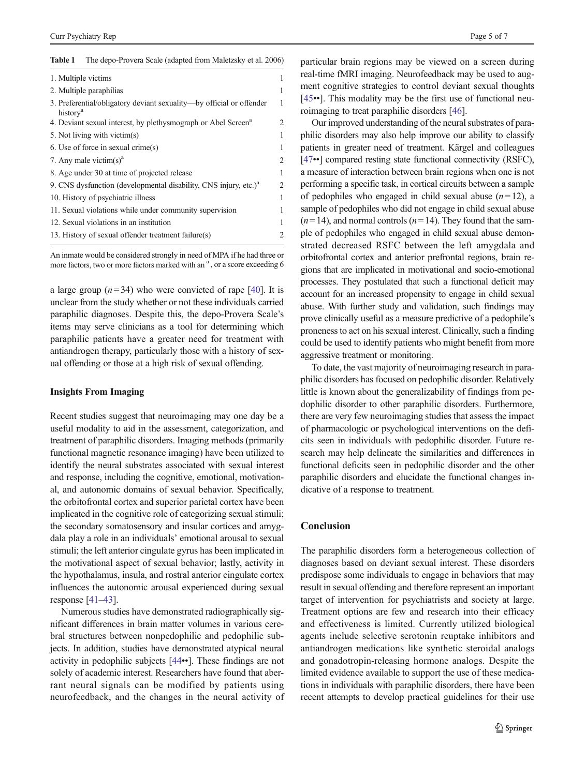<span id="page-4-0"></span>Table 1 The depo-Provera Scale (adapted from Maletzsky et al. 2006)

| 1. Multiple victims                                                                          |   |
|----------------------------------------------------------------------------------------------|---|
| 2. Multiple paraphilias                                                                      |   |
| 3. Preferential/obligatory deviant sexuality—by official or offender<br>history <sup>a</sup> | L |
| 4. Deviant sexual interest, by plethysmograph or Abel Screen <sup>a</sup>                    | 2 |
| 5. Not living with victim(s)                                                                 |   |
| 6. Use of force in sexual crime(s)                                                           |   |
| 7. Any male victim(s) <sup>a</sup>                                                           | 2 |
| 8. Age under 30 at time of projected release                                                 |   |
| 9. CNS dysfunction (developmental disability, CNS injury, etc.) <sup>a</sup>                 | 2 |
| 10. History of psychiatric illness                                                           |   |
| 11. Sexual violations while under community supervision                                      |   |
| 12. Sexual violations in an institution                                                      |   |
| 13. History of sexual offender treatment failure(s)                                          | 2 |

An inmate would be considered strongly in need of MPA if he had three or more factors, two or more factors marked with an <sup>a</sup>, or a score exceeding 6

a large group  $(n=34)$  who were convicted of rape [\[40](#page-6-0)]. It is unclear from the study whether or not these individuals carried paraphilic diagnoses. Despite this, the depo-Provera Scale's items may serve clinicians as a tool for determining which paraphilic patients have a greater need for treatment with antiandrogen therapy, particularly those with a history of sexual offending or those at a high risk of sexual offending.

### Insights From Imaging

Recent studies suggest that neuroimaging may one day be a useful modality to aid in the assessment, categorization, and treatment of paraphilic disorders. Imaging methods (primarily functional magnetic resonance imaging) have been utilized to identify the neural substrates associated with sexual interest and response, including the cognitive, emotional, motivational, and autonomic domains of sexual behavior. Specifically, the orbitofrontal cortex and superior parietal cortex have been implicated in the cognitive role of categorizing sexual stimuli; the secondary somatosensory and insular cortices and amygdala play a role in an individuals' emotional arousal to sexual stimuli; the left anterior cingulate gyrus has been implicated in the motivational aspect of sexual behavior; lastly, activity in the hypothalamus, insula, and rostral anterior cingulate cortex influences the autonomic arousal experienced during sexual response [[41](#page-6-0)–[43](#page-6-0)].

Numerous studies have demonstrated radiographically significant differences in brain matter volumes in various cerebral structures between nonpedophilic and pedophilic subjects. In addition, studies have demonstrated atypical neural activity in pedophilic subjects [\[44](#page-6-0)••]. These findings are not solely of academic interest. Researchers have found that aberrant neural signals can be modified by patients using neurofeedback, and the changes in the neural activity of particular brain regions may be viewed on a screen during real-time fMRI imaging. Neurofeedback may be used to augment cognitive strategies to control deviant sexual thoughts [\[45](#page-6-0)••]. This modality may be the first use of functional neuroimaging to treat paraphilic disorders [[46](#page-6-0)].

Our improved understanding of the neural substrates of paraphilic disorders may also help improve our ability to classify patients in greater need of treatment. Kärgel and colleagues [\[47](#page-6-0)••] compared resting state functional connectivity (RSFC), a measure of interaction between brain regions when one is not performing a specific task, in cortical circuits between a sample of pedophiles who engaged in child sexual abuse  $(n=12)$ , a sample of pedophiles who did not engage in child sexual abuse  $(n=14)$ , and normal controls  $(n=14)$ . They found that the sample of pedophiles who engaged in child sexual abuse demonstrated decreased RSFC between the left amygdala and orbitofrontal cortex and anterior prefrontal regions, brain regions that are implicated in motivational and socio-emotional processes. They postulated that such a functional deficit may account for an increased propensity to engage in child sexual abuse. With further study and validation, such findings may prove clinically useful as a measure predictive of a pedophile's proneness to act on his sexual interest. Clinically, such a finding could be used to identify patients who might benefit from more aggressive treatment or monitoring.

To date, the vast majority of neuroimaging research in paraphilic disorders has focused on pedophilic disorder. Relatively little is known about the generalizability of findings from pedophilic disorder to other paraphilic disorders. Furthermore, there are very few neuroimaging studies that assess the impact of pharmacologic or psychological interventions on the deficits seen in individuals with pedophilic disorder. Future research may help delineate the similarities and differences in functional deficits seen in pedophilic disorder and the other paraphilic disorders and elucidate the functional changes indicative of a response to treatment.

# Conclusion

The paraphilic disorders form a heterogeneous collection of diagnoses based on deviant sexual interest. These disorders predispose some individuals to engage in behaviors that may result in sexual offending and therefore represent an important target of intervention for psychiatrists and society at large. Treatment options are few and research into their efficacy and effectiveness is limited. Currently utilized biological agents include selective serotonin reuptake inhibitors and antiandrogen medications like synthetic steroidal analogs and gonadotropin-releasing hormone analogs. Despite the limited evidence available to support the use of these medications in individuals with paraphilic disorders, there have been recent attempts to develop practical guidelines for their use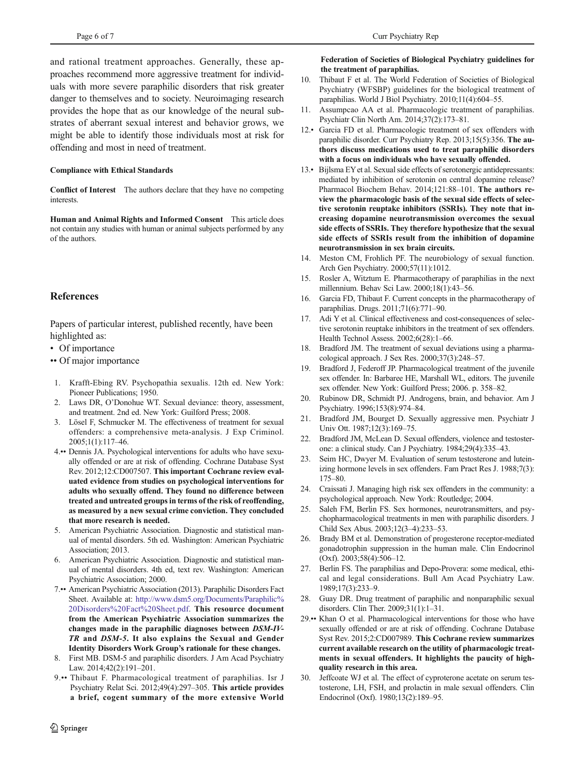<span id="page-5-0"></span>and rational treatment approaches. Generally, these approaches recommend more aggressive treatment for individuals with more severe paraphilic disorders that risk greater danger to themselves and to society. Neuroimaging research provides the hope that as our knowledge of the neural substrates of aberrant sexual interest and behavior grows, we might be able to identify those individuals most at risk for offending and most in need of treatment.

#### Compliance with Ethical Standards

Conflict of Interest The authors declare that they have no competing interests.

Human and Animal Rights and Informed Consent This article does not contain any studies with human or animal subjects performed by any of the authors.

# **References**

Papers of particular interest, published recently, have been highlighted as:

- Of importance
- •• Of major importance
- 1. Krafft-Ebing RV. Psychopathia sexualis. 12th ed. New York: Pioneer Publications; 1950.
- 2. Laws DR, O'Donohue WT. Sexual deviance: theory, assessment, and treatment. 2nd ed. New York: Guilford Press; 2008.
- 3. Lösel F, Schmucker M. The effectiveness of treatment for sexual offenders: a comprehensive meta-analysis. J Exp Criminol. 2005;1(1):117–46.
- 4.•• Dennis JA. Psychological interventions for adults who have sexually offended or are at risk of offending. Cochrane Database Syst Rev. 2012;12:CD007507. This important Cochrane review evaluated evidence from studies on psychological interventions for adults who sexually offend. They found no difference between treated and untreated groups in terms of the risk of reoffending, as measured by a new sexual crime conviction. They concluded that more research is needed.
- 5. American Psychiatric Association. Diagnostic and statistical manual of mental disorders. 5th ed. Washington: American Psychiatric Association; 2013.
- 6. American Psychiatric Association. Diagnostic and statistical manual of mental disorders. 4th ed, text rev. Washington: American Psychiatric Association; 2000.
- 7.•• American Psychiatric Association (2013). Paraphilic Disorders Fact Sheet. Available at: [http://www.dsm5.org/Documents/Paraphilic%](http://www.dsm5.org/Documents/Paraphilic%20Disorders%20Fact%20Sheet.pdf) [20Disorders%20Fact%20Sheet.pdf](http://www.dsm5.org/Documents/Paraphilic%20Disorders%20Fact%20Sheet.pdf). This resource document from the American Psychiatric Association summarizes the changes made in the paraphilic diagnoses between DSM-IV-TR and DSM-5. It also explains the Sexual and Gender Identity Disorders Work Group's rationale for these changes.
- 8. First MB. DSM-5 and paraphilic disorders. J Am Acad Psychiatry Law. 2014;42(2):191–201.
- 9.•• Thibaut F. Pharmacological treatment of paraphilias. Isr J Psychiatry Relat Sci. 2012;49(4):297–305. This article provides a brief, cogent summary of the more extensive World

D Springer ⊉

Federation of Societies of Biological Psychiatry guidelines for the treatment of paraphilias.

- 10. Thibaut F et al. The World Federation of Societies of Biological Psychiatry (WFSBP) guidelines for the biological treatment of paraphilias. World J Biol Psychiatry. 2010;11(4):604–55.
- 11. Assumpcao AA et al. Pharmacologic treatment of paraphilias. Psychiatr Clin North Am. 2014;37(2):173–81.
- 12.• Garcia FD et al. Pharmacologic treatment of sex offenders with paraphilic disorder. Curr Psychiatry Rep. 2013;15(5):356. The authors discuss medications used to treat paraphilic disorders with a focus on individuals who have sexually offended.
- 13.• Bijlsma EY et al. Sexual side effects of serotonergic antidepressants: mediated by inhibition of serotonin on central dopamine release? Pharmacol Biochem Behav. 2014;121:88–101. The authors review the pharmacologic basis of the sexual side effects of selective serotonin reuptake inhibitors (SSRIs). They note that increasing dopamine neurotransmission overcomes the sexual side effects of SSRIs. They therefore hypothesize that the sexual side effects of SSRIs result from the inhibition of dopamine neurotransmission in sex brain circuits.
- 14. Meston CM, Frohlich PF. The neurobiology of sexual function. Arch Gen Psychiatry. 2000;57(11):1012.
- 15. Rosler A, Witztum E. Pharmacotherapy of paraphilias in the next millennium. Behav Sci Law. 2000;18(1):43–56.
- 16. Garcia FD, Thibaut F. Current concepts in the pharmacotherapy of paraphilias. Drugs. 2011;71(6):771–90.
- 17. Adi Y et al. Clinical effectiveness and cost-consequences of selective serotonin reuptake inhibitors in the treatment of sex offenders. Health Technol Assess. 2002;6(28):1–66.
- 18. Bradford JM. The treatment of sexual deviations using a pharmacological approach. J Sex Res. 2000;37(3):248–57.
- 19. Bradford J, Federoff JP. Pharmacological treatment of the juvenile sex offender. In: Barbaree HE, Marshall WL, editors. The juvenile sex offender. New York: Guilford Press; 2006. p. 358–82.
- 20. Rubinow DR, Schmidt PJ. Androgens, brain, and behavior. Am J Psychiatry. 1996;153(8):974–84.
- 21. Bradford JM, Bourget D. Sexually aggressive men. Psychiatr J Univ Ott. 1987;12(3):169–75.
- 22. Bradford JM, McLean D. Sexual offenders, violence and testosterone: a clinical study. Can J Psychiatry. 1984;29(4):335–43.
- 23. Seim HC, Dwyer M. Evaluation of serum testosterone and luteinizing hormone levels in sex offenders. Fam Pract Res J. 1988;7(3): 175–80.
- 24. Craissati J. Managing high risk sex offenders in the community: a psychological approach. New York: Routledge; 2004.
- 25. Saleh FM, Berlin FS. Sex hormones, neurotransmitters, and psychopharmacological treatments in men with paraphilic disorders. J Child Sex Abus. 2003;12(3–4):233–53.
- 26. Brady BM et al. Demonstration of progesterone receptor-mediated gonadotrophin suppression in the human male. Clin Endocrinol  $(Oxf)$ . 2003;58(4):506-12.
- 27. Berlin FS. The paraphilias and Depo-Provera: some medical, ethical and legal considerations. Bull Am Acad Psychiatry Law. 1989;17(3):233–9.
- 28. Guay DR. Drug treatment of paraphilic and nonparaphilic sexual disorders. Clin Ther. 2009;31(1):1–31.
- 29.•• Khan O et al. Pharmacological interventions for those who have sexually offended or are at risk of offending. Cochrane Database Syst Rev. 2015;2:CD007989. This Cochrane review summarizes current available research on the utility of pharmacologic treatments in sexual offenders. It highlights the paucity of highquality research in this area.
- 30. Jeffcoate WJ et al. The effect of cyproterone acetate on serum testosterone, LH, FSH, and prolactin in male sexual offenders. Clin Endocrinol (Oxf). 1980;13(2):189–95.